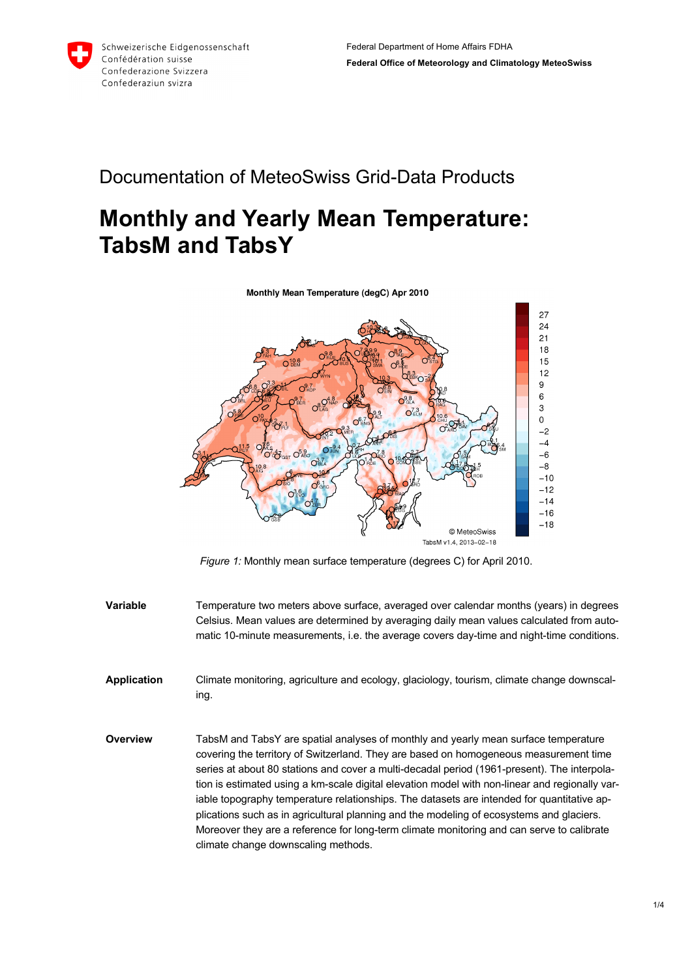

## Documentation of MeteoSwiss Grid-Data Products

## **Monthly and Yearly Mean Temperature: TabsM and TabsY**

Monthly Mean Temperature (degC) Apr 2010



*Figure 1:* Monthly mean surface temperature (degrees C) for April 2010.

- **Variable** Temperature two meters above surface, averaged over calendar months (years) in degrees Celsius. Mean values are determined by averaging daily mean values calculated from automatic 10-minute measurements, i.e. the average covers day-time and night-time conditions.
- **Application** Climate monitoring, agriculture and ecology, glaciology, tourism, climate change downscaling.
- **Overview** TabsM and TabsY are spatial analyses of monthly and yearly mean surface temperature covering the territory of Switzerland. They are based on homogeneous measurement time series at about 80 stations and cover a multi-decadal period (1961-present). The interpolation is estimated using a km-scale digital elevation model with non-linear and regionally variable topography temperature relationships. The datasets are intended for quantitative applications such as in agricultural planning and the modeling of ecosystems and glaciers. Moreover they are a reference for long-term climate monitoring and can serve to calibrate climate change downscaling methods.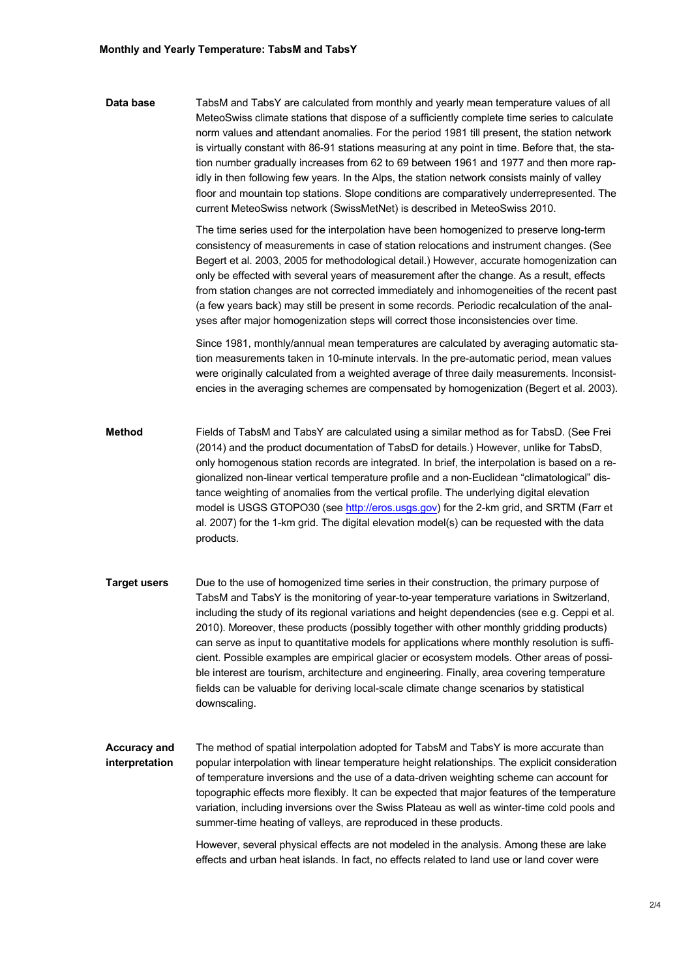**Data base** TabsM and TabsY are calculated from monthly and yearly mean temperature values of all MeteoSwiss climate stations that dispose of a sufficiently complete time series to calculate norm values and attendant anomalies. For the period 1981 till present, the station network is virtually constant with 86-91 stations measuring at any point in time. Before that, the station number gradually increases from 62 to 69 between 1961 and 1977 and then more rapidly in then following few years. In the Alps, the station network consists mainly of valley floor and mountain top stations. Slope conditions are comparatively underrepresented. The current MeteoSwiss network (SwissMetNet) is described in MeteoSwiss 2010.

> The time series used for the interpolation have been homogenized to preserve long-term consistency of measurements in case of station relocations and instrument changes. (See Begert et al. 2003, 2005 for methodological detail.) However, accurate homogenization can only be effected with several years of measurement after the change. As a result, effects from station changes are not corrected immediately and inhomogeneities of the recent past (a few years back) may still be present in some records. Periodic recalculation of the analyses after major homogenization steps will correct those inconsistencies over time.

> Since 1981, monthly/annual mean temperatures are calculated by averaging automatic station measurements taken in 10-minute intervals. In the pre-automatic period, mean values were originally calculated from a weighted average of three daily measurements. Inconsistencies in the averaging schemes are compensated by homogenization (Begert et al. 2003).

- **Method** Fields of TabsM and TabsY are calculated using a similar method as for TabsD. (See Frei (2014) and the product documentation of TabsD for details.) However, unlike for TabsD, only homogenous station records are integrated. In brief, the interpolation is based on a regionalized non-linear vertical temperature profile and a non-Euclidean "climatological" distance weighting of anomalies from the vertical profile. The underlying digital elevation model is USGS GTOPO30 (see http://eros.usgs.gov) for the 2-km grid, and SRTM (Farr et al. 2007) for the 1-km grid. The digital elevation model(s) can be requested with the data products.
- **Target users** Due to the use of homogenized time series in their construction, the primary purpose of TabsM and TabsY is the monitoring of year-to-year temperature variations in Switzerland, including the study of its regional variations and height dependencies (see e.g. Ceppi et al. 2010). Moreover, these products (possibly together with other monthly gridding products) can serve as input to quantitative models for applications where monthly resolution is sufficient. Possible examples are empirical glacier or ecosystem models. Other areas of possible interest are tourism, architecture and engineering. Finally, area covering temperature fields can be valuable for deriving local-scale climate change scenarios by statistical downscaling.
- **Accuracy and interpretation** The method of spatial interpolation adopted for TabsM and TabsY is more accurate than popular interpolation with linear temperature height relationships. The explicit consideration of temperature inversions and the use of a data-driven weighting scheme can account for topographic effects more flexibly. It can be expected that major features of the temperature variation, including inversions over the Swiss Plateau as well as winter-time cold pools and summer-time heating of valleys, are reproduced in these products.

However, several physical effects are not modeled in the analysis. Among these are lake effects and urban heat islands. In fact, no effects related to land use or land cover were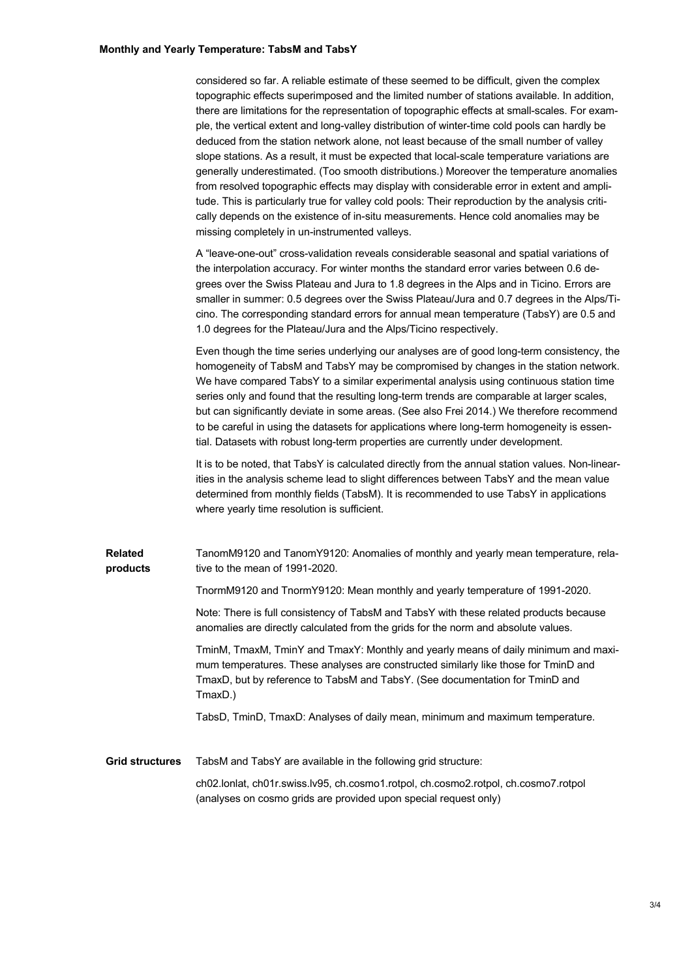| considered so far. A reliable estimate of these seemed to be difficult, given the complex        |
|--------------------------------------------------------------------------------------------------|
| topographic effects superimposed and the limited number of stations available. In addition,      |
| there are limitations for the representation of topographic effects at small-scales. For exam-   |
| ple, the vertical extent and long-valley distribution of winter-time cold pools can hardly be    |
| deduced from the station network alone, not least because of the small number of valley          |
| slope stations. As a result, it must be expected that local-scale temperature variations are     |
| generally underestimated. (Too smooth distributions.) Moreover the temperature anomalies         |
| from resolved topographic effects may display with considerable error in extent and ampli-       |
| tude. This is particularly true for valley cold pools: Their reproduction by the analysis criti- |
| cally depends on the existence of in-situ measurements. Hence cold anomalies may be              |
| missing completely in un-instrumented valleys.                                                   |

A "leave-one-out" cross-validation reveals considerable seasonal and spatial variations of the interpolation accuracy. For winter months the standard error varies between 0.6 degrees over the Swiss Plateau and Jura to 1.8 degrees in the Alps and in Ticino. Errors are smaller in summer: 0.5 degrees over the Swiss Plateau/Jura and 0.7 degrees in the Alps/Ticino. The corresponding standard errors for annual mean temperature (TabsY) are 0.5 and 1.0 degrees for the Plateau/Jura and the Alps/Ticino respectively.

Even though the time series underlying our analyses are of good long-term consistency, the homogeneity of TabsM and TabsY may be compromised by changes in the station network. We have compared TabsY to a similar experimental analysis using continuous station time series only and found that the resulting long-term trends are comparable at larger scales, but can significantly deviate in some areas. (See also Frei 2014.) We therefore recommend to be careful in using the datasets for applications where long-term homogeneity is essential. Datasets with robust long-term properties are currently under development.

It is to be noted, that TabsY is calculated directly from the annual station values. Non-linearities in the analysis scheme lead to slight differences between TabsY and the mean value determined from monthly fields (TabsM). It is recommended to use TabsY in applications where yearly time resolution is sufficient.

**Related products** TanomM9120 and TanomY9120: Anomalies of monthly and yearly mean temperature, relative to the mean of 1991-2020.

TnormM9120 and TnormY9120: Mean monthly and yearly temperature of 1991-2020.

Note: There is full consistency of TabsM and TabsY with these related products because anomalies are directly calculated from the grids for the norm and absolute values.

TminM, TmaxM, TminY and TmaxY: Monthly and yearly means of daily minimum and maximum temperatures. These analyses are constructed similarly like those for TminD and TmaxD, but by reference to TabsM and TabsY. (See documentation for TminD and TmaxD.)

TabsD, TminD, TmaxD: Analyses of daily mean, minimum and maximum temperature.

**Grid structures** TabsM and TabsY are available in the following grid structure: ch02.lonlat, ch01r.swiss.lv95, ch.cosmo1.rotpol, ch.cosmo2.rotpol, ch.cosmo7.rotpol (analyses on cosmo grids are provided upon special request only)